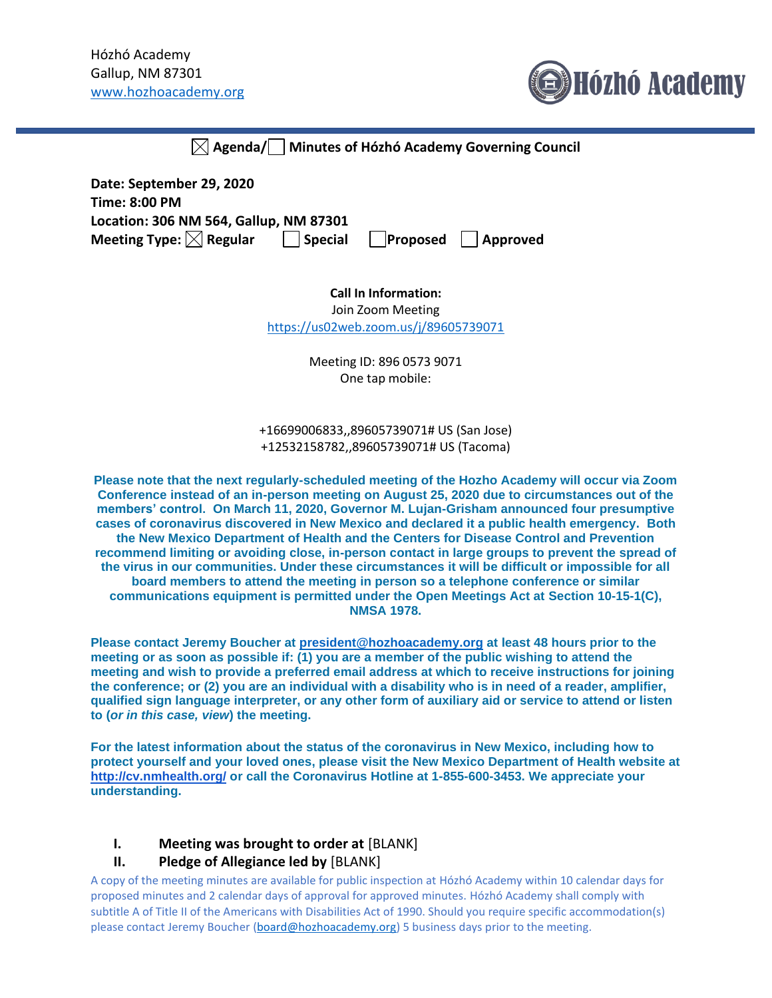

|  | $\boxtimes$ Agenda/ $\Box$ Minutes of Hózhó Academy Governing Council |  |
|--|-----------------------------------------------------------------------|--|
|--|-----------------------------------------------------------------------|--|

| Date: September 29, 2020               |                 |                                 |
|----------------------------------------|-----------------|---------------------------------|
| Time: 8:00 PM                          |                 |                                 |
| Location: 306 NM 564, Gallup, NM 87301 |                 |                                 |
| Meeting Type: $[{\times}]$ Regular     | $\vert$ Special | $\Box$ Proposed $\Box$ Approved |

**Call In Information:**

Join Zoom Meeting <https://us02web.zoom.us/j/89605739071>

> Meeting ID: 896 0573 9071 One tap mobile:

+16699006833,,89605739071# US (San Jose) +12532158782,,89605739071# US (Tacoma)

**Please note that the next regularly-scheduled meeting of the Hozho Academy will occur via Zoom Conference instead of an in-person meeting on August 25, 2020 due to circumstances out of the members' control. On March 11, 2020, Governor M. Lujan-Grisham announced four presumptive cases of coronavirus discovered in New Mexico and declared it a public health emergency. Both the New Mexico Department of Health and the Centers for Disease Control and Prevention recommend limiting or avoiding close, in-person contact in large groups to prevent the spread of the virus in our communities. Under these circumstances it will be difficult or impossible for all board members to attend the meeting in person so a telephone conference or similar communications equipment is permitted under the Open Meetings Act at Section 10-15-1(C), NMSA 1978.**

**Please contact Jeremy Boucher at [president@hozhoacademy.org](mailto:president@hozhoacademy.org) at least 48 hours prior to the meeting or as soon as possible if: (1) you are a member of the public wishing to attend the meeting and wish to provide a preferred email address at which to receive instructions for joining the conference; or (2) you are an individual with a disability who is in need of a reader, amplifier, qualified sign language interpreter, or any other form of auxiliary aid or service to attend or listen to (***or in this case, view***) the meeting.**

**For the latest information about the status of the coronavirus in New Mexico, including how to protect yourself and your loved ones, please visit the New Mexico Department of Health website at <http://cv.nmhealth.org/> or call the Coronavirus Hotline at 1-855-600-3453. We appreciate your understanding.**

## **I. Meeting was brought to order at** [BLANK]

## **II. Pledge of Allegiance led by** [BLANK]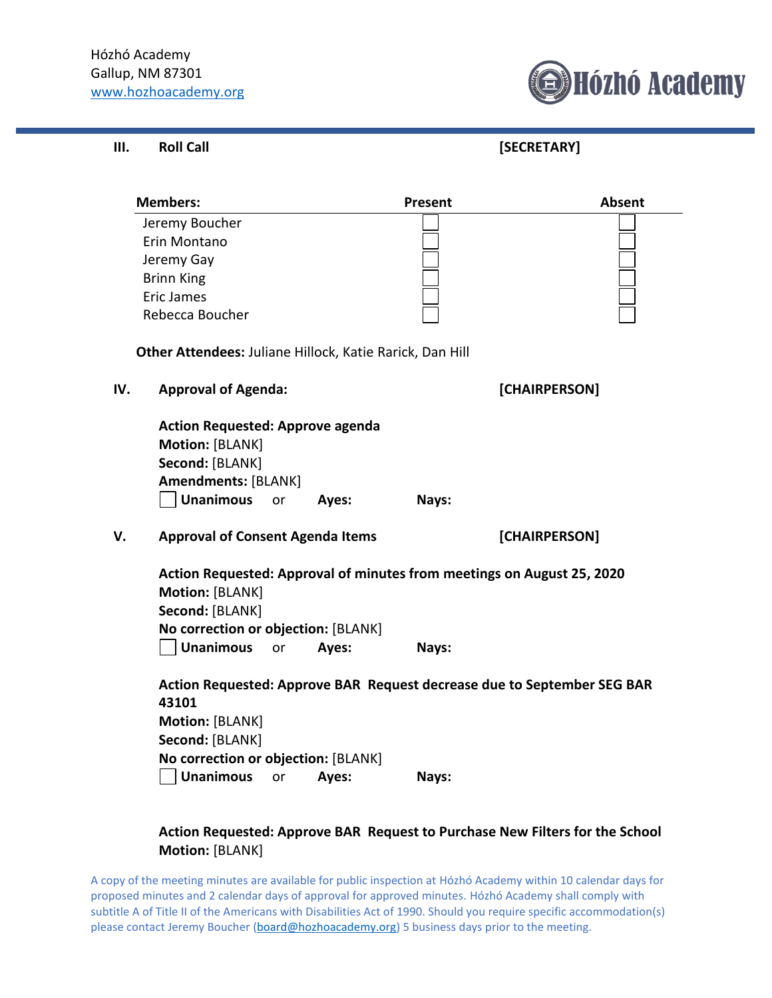

| Ш. | <b>Roll Call</b> |  |
|----|------------------|--|
|----|------------------|--|

**III. Roll Call [SECRETARY]**

|     | <b>Members:</b>                                                                                                                                     |       | <b>Present</b> | <b>Absent</b>                                                           |  |
|-----|-----------------------------------------------------------------------------------------------------------------------------------------------------|-------|----------------|-------------------------------------------------------------------------|--|
|     | Jeremy Boucher                                                                                                                                      |       |                |                                                                         |  |
|     | Erin Montano                                                                                                                                        |       |                |                                                                         |  |
|     | Jeremy Gay                                                                                                                                          |       |                |                                                                         |  |
|     | <b>Brinn King</b>                                                                                                                                   |       |                |                                                                         |  |
|     | <b>Eric James</b>                                                                                                                                   |       |                |                                                                         |  |
|     | Rebecca Boucher                                                                                                                                     |       |                |                                                                         |  |
|     | Other Attendees: Juliane Hillock, Katie Rarick, Dan Hill                                                                                            |       |                |                                                                         |  |
| IV. | <b>Approval of Agenda:</b>                                                                                                                          |       | [CHAIRPERSON]  |                                                                         |  |
|     | <b>Action Requested: Approve agenda</b><br>Motion: [BLANK]<br>Second: [BLANK]<br><b>Amendments: [BLANK]</b><br><b>Unanimous</b><br>or               | Ayes: | Nays:          |                                                                         |  |
| V.  | <b>Approval of Consent Agenda Items</b>                                                                                                             |       |                | [CHAIRPERSON]                                                           |  |
|     | Action Requested: Approval of minutes from meetings on August 25, 2020<br>Motion: [BLANK]<br>Second: [BLANK]<br>No correction or objection: [BLANK] |       |                |                                                                         |  |
|     | <b>Unanimous</b><br>or                                                                                                                              | Ayes: | Nays:          |                                                                         |  |
|     | 43101<br>Motion: [BLANK]<br>Second: [BLANK]                                                                                                         |       |                | Action Requested: Approve BAR Request decrease due to September SEG BAR |  |
|     | No correction or objection: [BLANK]                                                                                                                 |       |                |                                                                         |  |
|     | <b>Unanimous</b><br>or                                                                                                                              | Ayes: | Nays:          |                                                                         |  |

## **Action Requested: Approve BAR Request to Purchase New Filters for the School Motion:** [BLANK]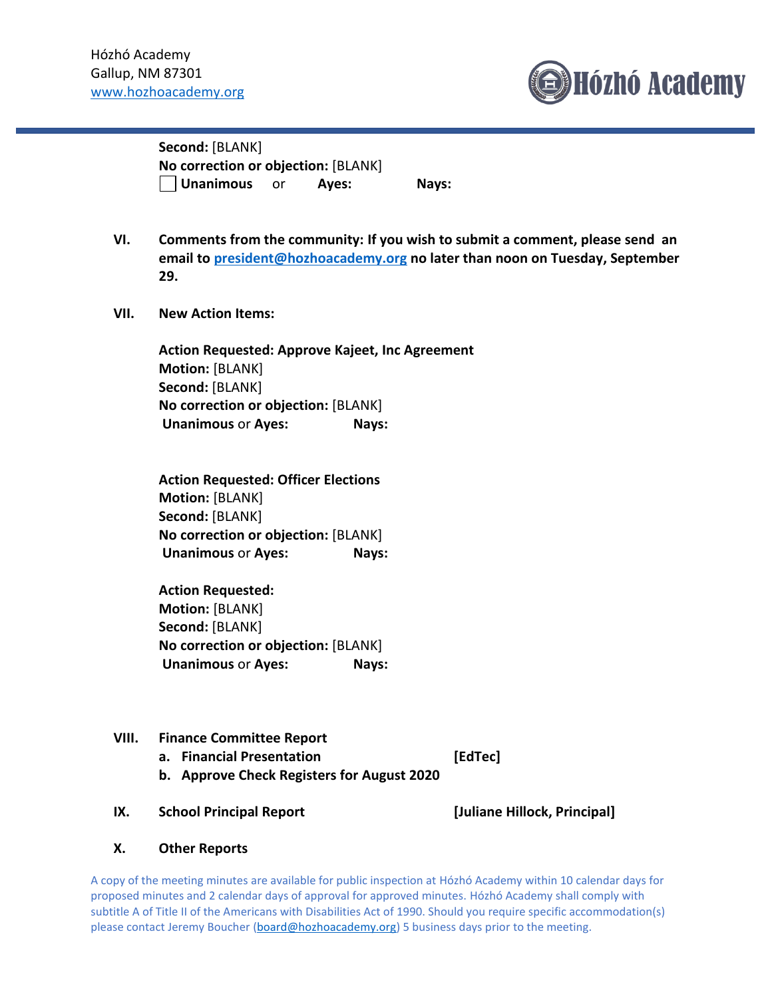

**Second:** [BLANK] **No correction or objection:** [BLANK] **Unanimous** or **Ayes: Nays:** 

- **VI. Comments from the community: If you wish to submit a comment, please send an email to [president@hozhoacademy.org](mailto:president@hozhoacademy.org) no later than noon on Tuesday, September 29.**
- **VII. New Action Items:**

**Action Requested: Approve Kajeet, Inc Agreement Motion:** [BLANK] **Second:** [BLANK] **No correction or objection:** [BLANK] **Unanimous** or **Ayes: Nays:**

**Action Requested: Officer Elections Motion:** [BLANK] **Second:** [BLANK] **No correction or objection:** [BLANK] **Unanimous** or **Ayes: Nays:**

**Action Requested: Motion:** [BLANK] **Second:** [BLANK] **No correction or objection:** [BLANK] **Unanimous** or **Ayes: Nays:**

**VIII. Finance Committee Report**

**a. Financial Presentation [EdTec]**

- **b. Approve Check Registers for August 2020**
- **IX. School Principal Report [Juliane Hillock, Principal]**

## **X. Other Reports**